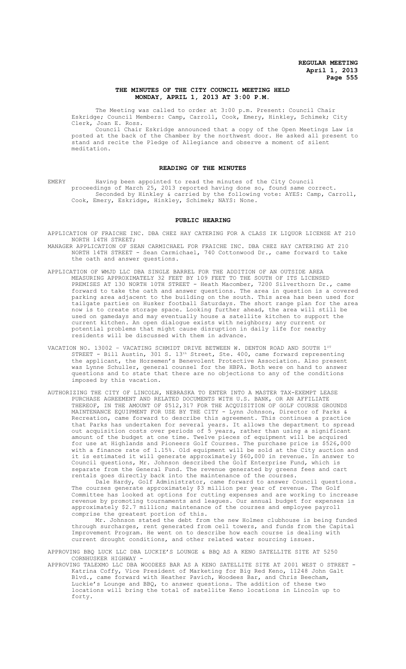# **THE MINUTES OF THE CITY COUNCIL MEETING HELD MONDAY, APRIL 1, 2013 AT 3:00 P.M.**

The Meeting was called to order at 3:00 p.m. Present: Council Chair Eskridge; Council Members: Camp, Carroll, Cook, Emery, Hinkley, Schimek; City Clerk, Joan E. Ross.

Council Chair Eskridge announced that a copy of the Open Meetings Law is posted at the back of the Chamber by the northwest door. He asked all present to stand and recite the Pledge of Allegiance and observe a moment of silent meditation.

### **READING OF THE MINUTES**

EMERY Having been appointed to read the minutes of the City Council proceedings of March 25, 2013 reported having done so, found same correct. Seconded by Hinkley & carried by the following vote: AYES: Camp, Carroll, Cook, Emery, Eskridge, Hinkley, Schimek; NAYS: None.

#### **PUBLIC HEARING**

- APPLICATION OF FRAICHE INC. DBA CHEZ HAY CATERING FOR A CLASS IK LIQUOR LICENSE AT 210 NORTH 14TH STREET;
- MANAGER APPLICATION OF SEAN CARMICHAEL FOR FRAICHE INC. DBA CHEZ HAY CATERING AT 210 NORTH 14TH STREET - Sean Carmichael, 740 Cottonwood Dr., came forward to take the oath and answer questions.
- APPLICATION OF WMJD LLC DBA SINGLE BARREL FOR THE ADDITION OF AN OUTSIDE AREA MEASURING APPROXIMATELY 32 FEET BY 109 FEET TO THE SOUTH OF ITS LICENSED PREMISES AT 130 NORTH 10TH STREET - Heath Macomber, 7200 Silverthorn Dr., came forward to take the oath and answer questions. The area in question is a covered parking area adjacent to the building on the south. This area has been used for tailgate parties on Husker football Saturdays. The short range plan for the area now is to create storage space. Looking further ahead, the area will still be used on gamedays and may eventually house a satellite kitchen to support the current kitchen. An open dialogue exists with neighbors; any current or potential problems that might cause disruption in daily life for nearby residents will be discussed with them in advance.
- VACATION NO. 13002 VACATING SCHMIDT DRIVE BETWEEN W. DENTON ROAD AND SOUTH 1ST STREET - Bill Austin, 301 S.  $13<sup>th</sup>$  Street, Ste. 400, came forward representing the applicant, the Horsemen's Benevolent Protective Association. Also present was Lynne Schuller, general counsel for the HBPA. Both were on hand to answer questions and to state that there are no objections to any of the conditions imposed by this vacation.
- AUTHORIZING THE CITY OF LINCOLN, NEBRASKA TO ENTER INTO A MASTER TAX-EXEMPT LEASE PURCHASE AGREEMENT AND RELATED DOCUMENTS WITH U.S. BANK, OR AN AFFILIATE THEREOF, IN THE AMOUNT OF \$512,317 FOR THE ACQUISITION OF GOLF COURSE GROUNDS MAINTENANCE EQUIPMENT FOR USE BY THE CITY - Lynn Johnson, Director of Parks & Recreation, came forward to describe this agreement. This continues a practice that Parks has undertaken for several years. It allows the department to spread out acquisition costs over periods of 5 years, rather than using a significant amount of the budget at one time. Twelve pieces of equipment will be acquired for use at Highlands and Pioneers Golf Courses. The purchase price is \$526,000 with a finance rate of 1.15%. Old equipment will be sold at the City auction and it is estimated it will generate approximately \$60,000 in revenue. In answer to Council questions, Mr. Johnson described the Golf Enterprise Fund, which is separate from the General Fund. The revenue generated by greens fees and cart rentals goes directly back into the maintenance of the courses.

Dale Hardy, Golf Administrator, came forward to answer Council questions. The courses generate approximately \$3 million per year of revenue. The Golf Committee has looked at options for cutting expenses and are working to increase revenue by promoting tournaments and leagues. Our annual budget for expenses is approximately \$2.7 million; maintenance of the courses and employee payroll comprise the greatest portion of this.

Mr. Johnson stated the debt from the new Holmes clubhouse is being funded through surcharges, rent generated from cell towers, and funds from the Capital Improvement Program. He went on to describe how each course is dealing with current drought conditions, and other related water sourcing issues.

APPROVING BBQ LUCK LLC DBA LUCKIE'S LOUNGE & BBQ AS A KENO SATELLITE SITE AT 5250 CORNHUSKER HIGHWAY -

APPROVING TALEXMO LLC DBA WOODEES BAR AS A KENO SATELLITE SITE AT 2001 WEST O STREET - Katrina Coffy, Vice President of Marketing for Big Red Keno, 11248 John Galt Blvd., came forward with Heather Pavich, Woodees Bar, and Chris Beecham, Luckie's Lounge and BBQ, to answer questions. The addition of these two locations will bring the total of satellite Keno locations in Lincoln up to forty.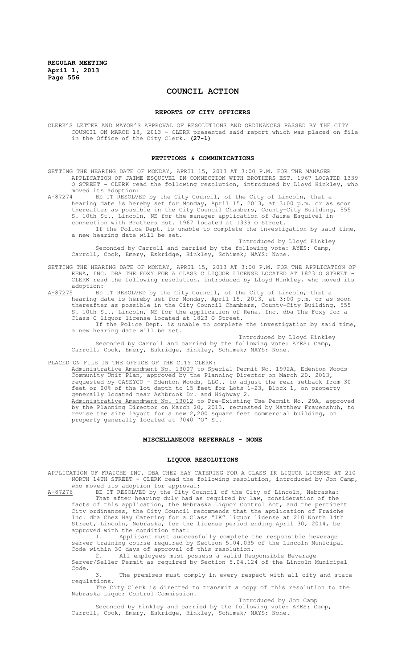# **COUNCIL ACTION**

#### **REPORTS OF CITY OFFICERS**

CLERK'S LETTER AND MAYOR'S APPROVAL OF RESOLUTIONS AND ORDINANCES PASSED BY THE CITY COUNCIL ON MARCH 18, 2013 - CLERK presented said report which was placed on file in the Office of the City Clerk. **(27-1)**

#### **PETITIONS & COMMUNICATIONS**

- SETTING THE HEARING DATE OF MONDAY, APRIL 15, 2013 AT 3:00 P.M. FOR THE MANAGER APPLICATION OF JAIME ESQUIVEL IN CONNECTION WITH BROTHERS EST. 1967 LOCATED 1339 O STREET - CLERK read the following resolution, introduced by Lloyd Hinkley, who moved its adoption:<br>A-87274 BE IT RESOLVE
- A-87274 BE IT RESOLVED by the City Council, of the City of Lincoln, that a hearing date is hereby set for Monday, April 15, 2013, at 3:00 p.m. or as soon thereafter as possible in the City Council Chambers, County-City Building, 555 S. 10th St., Lincoln, NE for the manager application of Jaime Esquivel in connection with Brothers Est. 1967 located at 1339 O Street.

If the Police Dept. is unable to complete the investigation by said time, a new hearing date will be set.

Introduced by Lloyd Hinkley Seconded by Carroll and carried by the following vote: AYES: Camp, Carroll, Cook, Emery, Eskridge, Hinkley, Schimek; NAYS: None.

- SETTING THE HEARING DATE OF MONDAY, APRIL 15, 2013 AT 3:00 P.M. FOR THE APPLICATION OF RENA, INC. DBA THE FOXY FOR A CLASS C LIQUOR LICENSE LOCATED AT 1823 O STREET - CLERK read the following resolution, introduced by Lloyd Hinkley, who moved its adoption:
- A-87275 BE IT RESOLVED by the City Council, of the City of Lincoln, that a hearing date is hereby set for Monday, April 15, 2013, at 3:00 p.m. or as soon thereafter as possible in the City Council Chambers, County-City Building, 555 S. 10th St., Lincoln, NE for the application of Rena, Inc. dba The Foxy for a Class C liquor license located at 1823 O Street.
	- If the Police Dept. is unable to complete the investigation by said time, a new hearing date will be set. Introduced by Lloyd Hinkley

Seconded by Carroll and carried by the following vote: AYES: Camp, Carroll, Cook, Emery, Eskridge, Hinkley, Schimek; NAYS: None.

PLACED ON FILE IN THE OFFICE OF THE CITY CLERK:

Administrative Amendment No. 13007 to Special Permit No. 1992A, Edenton Woods Community Unit Plan, approved by the Planning Director on March 20, 2013, requested by CASEYCO - Edenton Woods, LLC., to adjust the rear setback from 30 feet or 20% of the lot depth to 15 feet for Lots 1-23, Block 1, on property generally located near Ashbrook Dr. and Highway 2. Administrative Amendment No. 13012 to Pre-Existing Use Permit No. 29A, approved by the Planning Director on March 20, 2013, requested by Matthew Frauenshuh, to revise the site layout for a new 2,200 square feet commercial building, on property generally located at 7040 "O" St.

#### **MISCELLANEOUS REFERRALS - NONE**

#### **LIQUOR RESOLUTIONS**

APPLICATION OF FRAICHE INC. DBA CHEZ HAY CATERING FOR A CLASS IK LIQUOR LICENSE AT 210 NORTH 14TH STREET - CLERK read the following resolution, introduced by Jon Camp, who moved its adoption for approval:<br>A-87276 BE IT RESOLVED by the City Cou

BE IT RESOLVED by the City Council of the City of Lincoln, Nebraska: That after hearing duly had as required by law, consideration of the facts of this application, the Nebraska Liquor Control Act, and the pertinent City ordinances, the City Council recommends that the application of Fraiche Inc. dba Chez Hay Catering for a Class "IK" liquor license at 210 North 14th Street, Lincoln, Nebraska, for the license period ending April 30, 2014, be approved with the condition that:

1. Applicant must successfully complete the responsible beverage server training course required by Section 5.04.035 of the Lincoln Municipal Code within 30 days of approval of this resolution.

2. All employees must possess a valid Responsible Beverage Server/Seller Permit as required by Section 5.04.124 of the Lincoln Municipal Code.

3. The premises must comply in every respect with all city and state regulations.

The City Clerk is directed to transmit a copy of this resolution to the Nebraska Liquor Control Commission. Introduced by Jon Camp

Seconded by Hinkley and carried by the following vote: AYES: Camp, Carroll, Cook, Emery, Eskridge, Hinkley, Schimek; NAYS: None.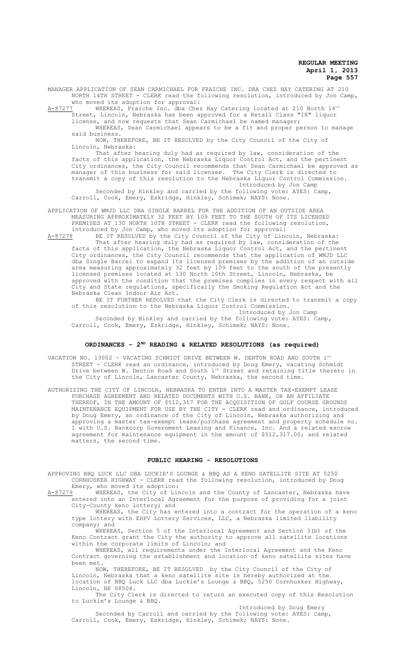MANAGER APPLICATION OF SEAN CARMICHAEL FOR FRAICHE INC. DBA CHEZ HAY CATERING AT 210 NORTH 14TH STREET - CLERK read the following resolution, introduced by Jon Camp,

who moved its adoption for approval:<br>A-87277 WHEREAS, Fraiche Inc. dba Chez WHEREAS, Fraiche Inc. dba Chez Hay Catering located at 210 North 14<sup>th</sup>

Street, Lincoln, Nebraska has been approved for a Retail Class "IK" liquor license, and now requests that Sean Carmichael be named manager;

WHEREAS, Sean Carmichael appears to be a fit and proper person to manage said business.

NOW, THEREFORE, BE IT RESOLVED by the City Council of the City of Lincoln, Nebraska:

That after hearing duly had as required by law, consideration of the facts of this application, the Nebraska Liquor Control Act, and the pertinent City ordinances, the City Council recommends that Sean Carmichael be approved as manager of this business for said licensee. The City Clerk is directed to transmit a copy of this resolution to the Nebraska Liquor Control Commission. Introduced by Jon Camp

Seconded by Hinkley and carried by the following vote: AYES: Camp, Carroll, Cook, Emery, Eskridge, Hinkley, Schimek; NAYS: None.

APPLICATION OF WMJD LLC DBA SINGLE BARREL FOR THE ADDITION OF AN OUTSIDE AREA MEASURING APPROXIMATELY 32 FEET BY 109 FEET TO THE SOUTH OF ITS LICENSED PREMISES AT 130 NORTH 10TH STREET - CLERK read the following resolution, introduced by Jon Camp, who moved its adoption for approval:

A-87278 BE IT RESOLVED by the City Council of the City of Lincoln, Nebraska: That after hearing duly had as required by law, consideration of the

facts of this application, the Nebraska Liquor Control Act, and the pertinent City ordinances, the City Council recommends that the application of WMJD LLC dba Single Barrel to expand its licensed premises by the addition of an outside area measuring approximately 32 feet by 109 feet to the south of the presently licensed premises located at 130 North 10th Street, Lincoln, Nebraska, be approved with the condition that the premises complies in every respect with all City and State regulations, specifically the Smoking Regulation Act and the Nebraska Clean Indoor Air Act.

BE IT FURTHER RESOLVED that the City Clerk is directed to transmit a copy of this resolution to the Nebraska Liquor Control Commission.

Introduced by Jon Camp Seconded by Hinkley and carried by the following vote: AYES: Camp, Carroll, Cook, Emery, Eskridge, Hinkley, Schimek; NAYS: None.

# **ORDINANCES - 2ND READING & RELATED RESOLUTIONS (as required)**

VACATION NO. 13002 - VACATING SCHMIDT DRIVE BETWEEN W. DENTON ROAD AND SOUTH  $1^{\mathsf{ST}}$ STREET - CLERK read an ordinance, introduced by Doug Emery, vacating Schmidt Drive between W. Denton Road and South 1st Street and retaining title thereto in the City of Lincoln, Lancaster County, Nebraska, the second time.

AUTHORIZING THE CITY OF LINCOLN, NEBRASKA TO ENTER INTO A MASTER TAX-EXEMPT LEASE PURCHASE AGREEMENT AND RELATED DOCUMENTS WITH U.S. BANK, OR AN AFFILIATE THEREOF, IN THE AMOUNT OF \$512,317 FOR THE ACQUISITION OF GOLF COURSE GROUNDS MAINTENANCE EQUIPMENT FOR USE BY THE CITY - CLERK read and ordinance, introduced by Doug Emery, an ordinance of the City of Lincoln, Nebraska authorizing and approving a master tax-exempt lease/purchase agreement and property schedule no. 1 with U.S. Bankcorp Government Leasing and Finance, Inc. And a related escrow agreement for maintenance equipment in the amount of \$512,317.00; and related matters, the second time.

### **PUBLIC HEARING - RESOLUTIONS**

APPROVING BBQ LUCK LLC DBA LUCKIE'S LOUNGE & BBQ AS A KENO SATELLITE SITE AT 5250 CORNHUSKER HIGHWAY - CLERK read the following resolution, introduced by Doug Emery, who moved its adoption:

A-87279 WHEREAS, the City of Lincoln and the County of Lancaster, Nebraska have entered into an Interlocal Agreement for the purpose of providing for a joint City-County keno lottery; and

WHEREAS, the City has entered into a contract for the operation of a keno type lottery with EHPV Lottery Services, LLC, a Nebraska limited liability company; and

.<br>WHEREAS, Section 5 of the Interlocal Agreement and Section 3(b) of the Keno Contract grant the City the authority to approve all satellite locations within the corporate limits of Lincoln; and

WHEREAS, all requirements under the Interlocal Agreement and the Keno Contract governing the establishment and location of keno satellite sites have been met.

NOW, THEREFORE, BE IT RESOLVED by the City Council of the City of Lincoln, Nebraska that a keno satellite site is hereby authorized at the location of BBQ Luck LLC dba Luckie's Lounge & BBQ, 5250 Cornhusker Highway, Lincoln, NE 68504.

The City Clerk is directed to return an executed copy of this Resolution to Luckie's Lounge & BBQ.

Introduced by Doug Emery

Seconded by Carroll and carried by the following vote: AYES: Camp, Carroll, Cook, Emery, Eskridge, Hinkley, Schimek; NAYS: None.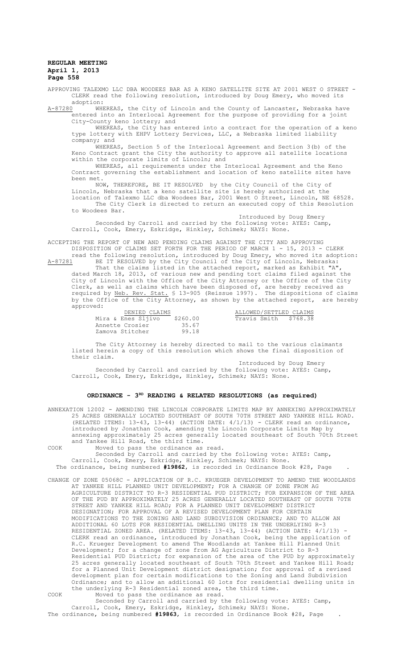APPROVING TALEXMO LLC DBA WOODEES BAR AS A KENO SATELLITE SITE AT 2001 WEST O STREET - CLERK read the following resolution, introduced by Doug Emery, who moved its

adoption:<br>A-87280 WHI WHEREAS, the City of Lincoln and the County of Lancaster, Nebraska have entered into an Interlocal Agreement for the purpose of providing for a joint City-County keno lottery; and

WHEREAS, the City has entered into a contract for the operation of a keno type lottery with EHPV Lottery Services, LLC, a Nebraska limited liability company; and

WHEREAS, Section 5 of the Interlocal Agreement and Section 3(b) of the Keno Contract grant the City the authority to approve all satellite locations within the corporate limits of Lincoln; and

WHEREAS, all requirements under the Interlocal Agreement and the Keno Contract governing the establishment and location of keno satellite sites have been met.

NOW, THEREFORE, BE IT RESOLVED by the City Council of the City of Lincoln, Nebraska that a keno satellite site is hereby authorized at the location of Talexmo LLC dba Woodees Bar, 2001 West O Street, Lincoln, NE 68528.

The City Clerk is directed to return an executed copy of this Resolution to Woodees Bar. Introduced by Doug Emery

Seconded by Carroll and carried by the following vote: AYES: Camp, Carroll, Cook, Emery, Eskridge, Hinkley, Schimek; NAYS: None.

ACCEPTING THE REPORT OF NEW AND PENDING CLAIMS AGAINST THE CITY AND APPROVING DISPOSITION OF CLAIMS SET FORTH FOR THE PERIOD OF MARCH 1 - 15, 2013 - CLERK

read the following resolution, introduced by Doug Emery, who moved its adoption: A-87281 BE IT RESOLVED by the City Council of the City of Lincoln, Nebraska: That the claims listed in the attached report, marked as Exhibit "A",

dated March 18, 2013, of various new and pending tort claims filed against the City of Lincoln with the Office of the City Attorney or the Office of the City Clerk, as well as claims which have been disposed of, are hereby received as required by Neb. Rev. Stat. § 13-905 (Reissue 1997). The dispositions of claims by the Office of the City Attorney, as shown by the attached report, are hereby approved:

| DENIED CLAIMS      |          | ALLOWED/SETTLED CLAIMS |  |
|--------------------|----------|------------------------|--|
| Mira & Enes Sljivo | \$260.00 | Travis Smith \$768.38  |  |
| Annette Crosier    | 35.67    |                        |  |
| Zamova Stitcher    | 99.18    |                        |  |

The City Attorney is hereby directed to mail to the various claimants listed herein a copy of this resolution which shows the final disposition of their claim.

Introduced by Doug Emery Seconded by Carroll and carried by the following vote: AYES: Camp, Carroll, Cook, Emery, Eskridge, Hinkley, Schimek; NAYS: None.

### ORDINANCE - 3<sup>RD</sup> READING & RELATED RESOLUTIONS (as required)

ANNEXATION 12002 - AMENDING THE LINCOLN CORPORATE LIMITS MAP BY ANNEXING APPROXIMATELY 25 ACRES GENERALLY LOCATED SOUTHEAST OF SOUTH 70TH STREET AND YANKEE HILL ROAD. (RELATED ITEMS: 13-43, 13-44) (ACTION DATE: 4/1/13) - CLERK read an ordinance, introduced by Jonathan Cook, amending the Lincoln Corporate Limits Map by annexing approximately 25 acres generally located southeast of South 70th Street<br>and Yankee Hill Road, the third time. and Yankee Hill Road, COOK Moved to pass the ordinance as read.

Seconded by Carroll and carried by the following vote: AYES: Camp, Carroll, Cook, Emery, Eskridge, Hinkley, Schimek; NAYS: None. The ordinance, being numbered **#19862**, is recorded in Ordinance Book #28, Page .

CHANGE OF ZONE 05068C - APPLICATION OF R.C. KRUEGER DEVELOPMENT TO AMEND THE WOODLANDS AT YANKEE HILL PLANNED UNIT DEVELOPMENT; FOR A CHANGE OF ZONE FROM AG AGRICULTURE DISTRICT TO R-3 RESIDENTIAL PUD DISTRICT; FOR EXPANSION OF THE AREA OF THE PUD BY APPROXIMATELY 25 ACRES GENERALLY LOCATED SOUTHEAST OF SOUTH 70TH STREET AND YANKEE HILL ROAD; FOR A PLANNED UNIT DEVELOPMENT DISTRICT DESIGNATION; FOR APPROVAL OF A REVISED DEVELOPMENT PLAN FOR CERTAIN MODIFICATIONS TO THE ZONING AND LAND SUBDIVISION ORDINANCE; AND TO ALLOW AN ADDITIONAL 60 LOTS FOR RESIDENTIAL DWELLING UNITS IN THE UNDERLYING R-3 RESIDENTIAL ZONED AREA. (RELATED ITEMS: 13-43, 13-44) (ACTION DATE: 4/1/13) - CLERK read an ordinance, introduced by Jonathan Cook, being the application of R.C. Krueger Development to amend The Woodlands at Yankee Hill Planned Unit Development; for a change of zone from AG Agriculture District to R-3 Residential PUD District; for expansion of the area of the PUD by approximately 25 acres generally located southeast of South 70th Street and Yankee Hill Road; for a Planned Unit Development district designation; for approval of a revised development plan for certain modifications to the Zoning and Land Subdivision Ordinance; and to allow an additional 60 lots for residential dwelling units in the underlying R-3 Residential zoned area, the third time. COOK Moved to pass the ordinance as read.

Seconded by Carroll and carried by the following vote: AYES: Camp, Carroll, Cook, Emery, Eskridge, Hinkley, Schimek; NAYS: None. The ordinance, being numbered **#19863**, is recorded in Ordinance Book #28, Page .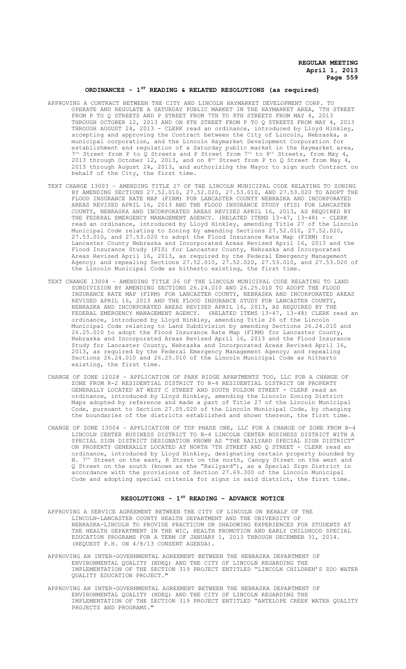### **ORDINANCES - 1ST READING & RELATED RESOLUTIONS (as required)**

- APPROVING A CONTRACT BETWEEN THE CITY AND LINCOLN HAYMARKET DEVELOPMENT CORP. TO OPERATE AND REGULATE A SATURDAY PUBLIC MARKET IN THE HAYMARKET AREA, 7TH STREET FROM P TO Q STREETS AND P STREET FROM 7TH TO 8TH STREETS FROM MAY 4, 2013 THROUGH OCTOBER 12, 2013 AND ON 8TH STREET FROM P TO Q STREETS FROM MAY 4, 2013 THROUGH AUGUST 24, 2013 - CLERK read an ordinance, introduced by Lloyd Hinkley, accepting and approving the Contract between the City of Lincoln, Nebraska, a municipal corporation, and the Lincoln Haymarket Development Corporation for establishment and regulation of a Saturday public market in the Haymarket area,  $7<sup>th</sup>$  Street from P to Q Streets and P Street from  $7<sup>th</sup>$  to  $8<sup>th</sup>$  Streets, from May 4, 2013 through October 12, 2013, and on  $8<sup>th</sup>$  Street from P to Q Street from May 4, 2013 through August 24, 2013, and authorizing the Mayor to sign such Contract on behalf of the City, the first time.
- TEXT CHANGE 13003 AMENDING TITLE 27 OF THE LINCOLN MUNICIPAL CODE RELATING TO ZONING BY AMENDING SECTIONS 27.52.010, 27.52.020, 27.53.010, AND 27.53.020 TO ADOPT THE FLOOD INSURANCE RATE MAP (FIRM) FOR LANCASTER COUNTY NEBRASKA AND INCORPORATED AREAS REVISED APRIL 16, 2013 AND THE FLOOD INSURANCE STUDY (FIS) FOR LANCASTER COUNTY, NEBRASKA AND INCORPORATED AREAS REVISED APRIL 16, 2013, AS REQUIRED BY THE FEDERAL EMERGENCY MANAGEMENT AGENCY. (RELATED ITEMS 13-47, 13-48) - CLERK read an ordinance, introduced by Lloyd Hinkley, amending Title 27 of the Lincoln Municipal Code relating to Zoning by amending Sections 27.52.010, 27.52.020, 27.53.010, and 27.53.020 to adopt the Flood Insurance Rate Map (FIRM) for Lancaster County Nebraska and Incorporated Areas Revised April 16, 2013 and the Flood Insurance Study (FIS) for Lancaster County, Nebraska and Incorporated Areas Revised April 16, 2013, as required by the Federal Emergency Management Agency; and repealing Sections 27.52.010, 27.52.020, 27.53.010, and 27.53.020 of the Lincoln Municipal Code as hitherto existing, the first time.
- TEXT CHANGE 13004 AMENDING TITLE 26 OF THE LINCOLN MUNICIPAL CODE RELATING TO LAND SUBDIVISION BY AMENDING SECTIONS 26.24.010 AND 26.25.010 TO ADOPT THE FLOOD INSURANCE RATE MAP (FIRM) FOR LANCASTER COUNTY, NEBRASKA AND INCORPORATED AREAS REVISED APRIL 16, 2013 AND THE FLOOD INSURANCE STUDY FOR LANCASTER COUNTY, NEBRASKA AND INCORPORATED AREAS REVISED APRIL 16, 2013, AS REQUIRED BY THE FEDERAL EMERGENCY MANAGEMENT AGENCY. (RELATED ITEMS 13-47, 13-48) CLERK read an ordinance, introduced by Lloyd Hinkley, amending Title 26 of the Lincoln Municipal Code relating to Land Subdivision by amending Sections 26.24.010 and 26.25.010 to adopt the Flood Insurance Rate Map (FIRM) for Lancaster County, Nebraska and Incorporated Areas Revised April 16, 2013 and the Flood Insurance Study for Lancaster County, Nebraska and Incorporated Areas Revised April 16, 2013, as required by the Federal Emergency Management Agency; and repealing Sections 26.24.010 and 26.25.010 of the Lincoln Municipal Code as hitherto existing, the first time.
- CHANGE OF ZONE 12028 APPLICATION OF PARK RIDGE APARTMENTS TOO, LLC FOR A CHANGE OF ZONE FROM R-2 RESIDENTIAL DISTRICT TO R-4 RESIDENTIAL DISTRICT ON PROPERTY GENERALLY LOCATED AT WEST C STREET AND SOUTH FOLSOM STREET - CLERK read an ordinance, introduced by Lloyd Hinkley, amending the Lincoln Zoning District Maps adopted by reference and made a part of Title 27 of the Lincoln Municipal Code, pursuant to Section 27.05.020 of the Lincoln Municipal Code, by changing the boundaries of the districts established and shown thereon, the first time.
- CHANGE OF ZONE 13004 APPLICATION OF TDP PHASE ONE, LLC FOR A CHANGE OF ZONE FROM B-4 LINCOLN CENTER BUSINESS DISTRICT TO B-4 LINCOLN CENTER BUSINESS DISTRICT WITH A SPECIAL SIGN DISTRICT DESIGNATION KNOWN AS "THE RAILYARD SPECIAL SIGN DISTRICT" ON PROPERTY GENERALLY LOCATED AT NORTH 7TH STREET AND Q STREET - CLERK read an ordinance, introduced by Lloyd Hinkley, designating certain property bounded by N. 7<sup>th</sup> Street on the east, R Street on the north, Canopy Street on the west and Q Street on the south (known as the "Railyard"), as a Special Sign District in accordance with the provisions of Section 27.69.300 of the Lincoln Municipal Code and adopting special criteria for signs in said district, the first time.

# **RESOLUTIONS - 1ST READING - ADVANCE NOTICE**

- APPROVING A SERVICE AGREEMENT BETWEEN THE CITY OF LINCOLN ON BEHALF OF THE LINCOLN-LANCASTER COUNTY HEALTH DEPARTMENT AND THE UNIVERSITY OF NEBRASKA-LINCOLN TO PROVIDE PRACTICUM OR SHADOWING EXPERIENCES FOR STUDENTS AT THE HEALTH DEPARTMENT IN THE WIC, HEALTH PROMOTION AND EARLY CHILDHOOD SPECIAL EDUCATION PROGRAMS FOR A TERM OF JANUARY 1, 2013 THROUGH DECEMBER 31, 2014. (REQUEST P.H. ON 4/8/13 CONSENT AGENDA).
- APPROVING AN INTER-GOVERNMENTAL AGREEMENT BETWEEN THE NEBRASKA DEPARTMENT OF ENVIRONMENTAL QUALITY (NDEQ) AND THE CITY OF LINCOLN REGARDING THE IMPLEMENTATION OF THE SECTION 319 PROJECT ENTITLED "LINCOLN CHILDREN'S ZOO WATER QUALITY EDUCATION PROJECT."
- APPROVING AN INTER-GOVERNMENTAL AGREEMENT BETWEEN THE NEBRASKA DEPARTMENT OF ENVIRONMENTAL QUALITY (NDEQ) AND THE CITY OF LINCOLN REGARDING THE IMPLEMENTATION OF THE SECTION 319 PROJECT ENTITLED "ANTELOPE CREEK WATER QUALITY PROJECTS AND PROGRAMS."